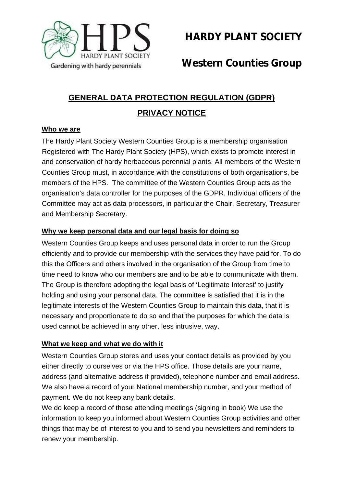

# **Western Counties Group**

# **GENERAL DATA PROTECTION REGULATION (GDPR) PRIVACY NOTICE**

#### **Who we are**

The Hardy Plant Society Western Counties Group is a membership organisation Registered with The Hardy Plant Society (HPS), which exists to promote interest in and conservation of hardy herbaceous perennial plants. All members of the Western Counties Group must, in accordance with the constitutions of both organisations, be members of the HPS. The committee of the Western Counties Group acts as the organisation's data controller for the purposes of the GDPR. Individual officers of the Committee may act as data processors, in particular the Chair, Secretary, Treasurer and Membership Secretary.

#### **Why we keep personal data and our legal basis for doing so**

Western Counties Group keeps and uses personal data in order to run the Group efficiently and to provide our membership with the services they have paid for. To do this the Officers and others involved in the organisation of the Group from time to time need to know who our members are and to be able to communicate with them. The Group is therefore adopting the legal basis of 'Legitimate Interest' to justify holding and using your personal data. The committee is satisfied that it is in the legitimate interests of the Western Counties Group to maintain this data, that it is necessary and proportionate to do so and that the purposes for which the data is used cannot be achieved in any other, less intrusive, way.

#### **What we keep and what we do with it**

Western Counties Group stores and uses your contact details as provided by you either directly to ourselves or via the HPS office. Those details are your name, address (and alternative address if provided), telephone number and email address. We also have a record of your National membership number, and your method of payment. We do not keep any bank details.

We do keep a record of those attending meetings (signing in book) We use the information to keep you informed about Western Counties Group activities and other things that may be of interest to you and to send you newsletters and reminders to renew your membership.